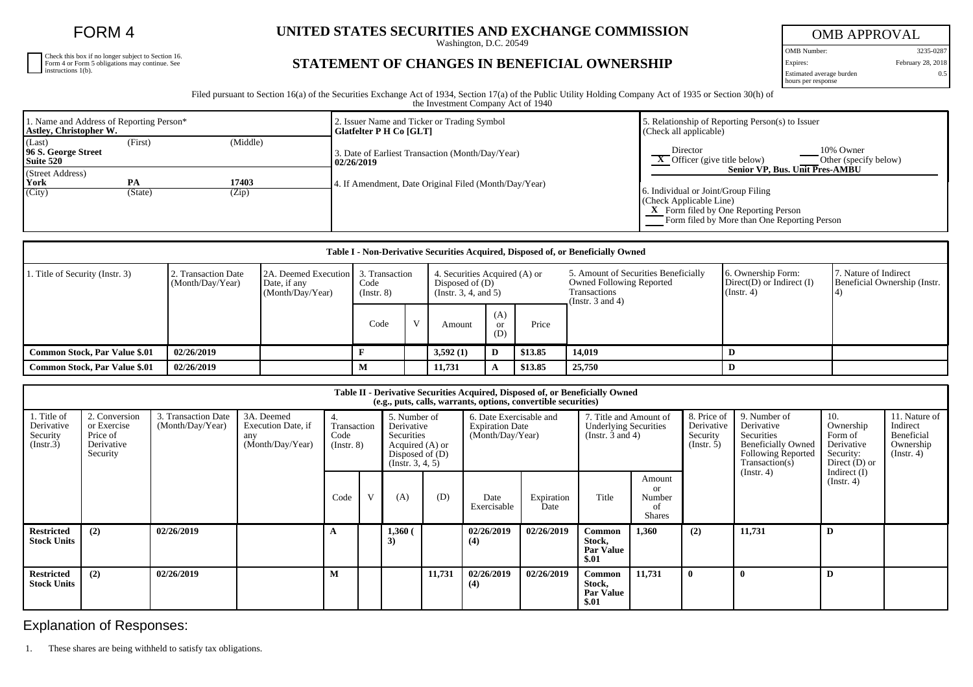FORM 4

Check this box if no longer subject to Section 16. Form 4 or Form 5 obligations may continue. See instructions 1(b).

## **UNITED STATES SECURITIES AND EXCHANGE COMMISSION**

Washington, D.C. 20549

## **STATEMENT OF CHANGES IN BENEFICIAL OWNERSHIP**

OMB APPROVAL OMB Number: 3235-0287 Expires: February 28, 2018 0.5

Estimated average burden hours per response

Filed pursuant to Section 16(a) of the Securities Exchange Act of 1934, Section 17(a) of the Public Utility Holding Company Act of 1935 or Section 30(h) of the Investment Company Act of 1940

| 1. Name and Address of Reporting Person*<br>Astley, Christopher W. |               |                | 2. Issuer Name and Ticker or Trading Symbol<br>Glatfelter P H Co [GLT] | 5. Relationship of Reporting Person(s) to Issuer<br>(Check all applicable)                                                                                                               |  |  |  |  |
|--------------------------------------------------------------------|---------------|----------------|------------------------------------------------------------------------|------------------------------------------------------------------------------------------------------------------------------------------------------------------------------------------|--|--|--|--|
| (Last)<br>96 S. George Street<br>Suite 520                         | (First)       | (Middle)       | 3. Date of Earliest Transaction (Month/Day/Year)<br>  02/26/2019       | 10% Owner<br>Director<br>$\overline{X}$ Officer (give title below)<br>Other (specify below)                                                                                              |  |  |  |  |
| (Street Address)<br>York<br>(City)                                 | PA<br>(State) | 17403<br>(Zip) | 4. If Amendment, Date Original Filed (Month/Day/Year)                  | Senior VP. Bus. Unit Pres-AMBU<br>6. Individual or Joint/Group Filing<br>(Check Applicable Line)<br>X Form filed by One Reporting Person<br>Form filed by More than One Reporting Person |  |  |  |  |

| Table I - Non-Derivative Securities Acquired, Disposed of, or Beneficially Owned |                                         |                                                                           |                     |           |                                                                             |                             |         |                                                                                                           |                                                                   |                                                       |
|----------------------------------------------------------------------------------|-----------------------------------------|---------------------------------------------------------------------------|---------------------|-----------|-----------------------------------------------------------------------------|-----------------------------|---------|-----------------------------------------------------------------------------------------------------------|-------------------------------------------------------------------|-------------------------------------------------------|
| 1. Title of Security (Instr. 3)                                                  | 2. Transaction Date<br>(Month/Day/Year) | 2A. Deemed Execution 1 3. Transaction<br>Date, if any<br>(Month/Day/Year) | Code<br>(Insert. 8) |           | 4. Securities Acquired (A) or<br>Disposed of $(D)$<br>(Insert. 3, 4, and 5) |                             |         | 5. Amount of Securities Beneficially<br>Owned Following Reported<br>Transactions<br>(Instr. $3$ and $4$ ) | 6. Ownership Form:<br>$Direct(D)$ or Indirect $(I)$<br>(Instr. 4) | 7. Nature of Indirect<br>Beneficial Ownership (Instr. |
|                                                                                  |                                         |                                                                           | Code                | <b>TT</b> | Amount                                                                      | (A)<br><sub>or</sub><br>(D) | Price   |                                                                                                           |                                                                   |                                                       |
| <b>Common Stock, Par Value \$.01</b>                                             | 02/26/2019                              |                                                                           |                     |           | 3,592(1)                                                                    | D                           | \$13.85 | 14,019                                                                                                    |                                                                   |                                                       |
| <b>Common Stock, Par Value \$.01</b>                                             | 02/26/2019                              |                                                                           |                     |           | 11,731                                                                      | A                           | \$13.85 | 25,750                                                                                                    |                                                                   |                                                       |

| Table II - Derivative Securities Acquired, Disposed of, or Beneficially Owned<br>(e.g., puts, calls, warrants, options, convertible securities) |                                                                    |                                         |                                                             |                                              |              |                                                                                                      |        |                                                                       |                    |                                                                                 |                                               |                                                      |                                                                                                                      |                                                                           |                                                                          |
|-------------------------------------------------------------------------------------------------------------------------------------------------|--------------------------------------------------------------------|-----------------------------------------|-------------------------------------------------------------|----------------------------------------------|--------------|------------------------------------------------------------------------------------------------------|--------|-----------------------------------------------------------------------|--------------------|---------------------------------------------------------------------------------|-----------------------------------------------|------------------------------------------------------|----------------------------------------------------------------------------------------------------------------------|---------------------------------------------------------------------------|--------------------------------------------------------------------------|
| 1. Title of<br>Derivative<br>Security<br>(Insert.3)                                                                                             | 2. Conversion<br>or Exercise<br>Price of<br>Derivative<br>Security | 3. Transaction Date<br>(Month/Day/Year) | 3A. Deemed<br>Execution Date, if<br>any<br>(Month/Day/Year) | 4.<br>Transaction<br>Code<br>$($ Instr. $8)$ |              | 5. Number of<br>Derivative<br>Securities<br>Acquired (A) or<br>Disposed of $(D)$<br>(Instr. 3, 4, 5) |        | 6. Date Exercisable and<br><b>Expiration Date</b><br>(Month/Day/Year) |                    | 7. Title and Amount of<br><b>Underlying Securities</b><br>(Instr. $3$ and $4$ ) |                                               | 8. Price of<br>Derivative<br>Security<br>(Insert. 5) | 9. Number of<br>Derivative<br>Securities<br><b>Beneficially Owned</b><br><b>Following Reported</b><br>Transaction(s) | 10.<br>Ownership<br>Form of<br>Derivative<br>Security:<br>Direct $(D)$ or | 11. Nature of<br>Indirect<br>Beneficial<br>Ownership<br>$($ Instr. 4 $)$ |
|                                                                                                                                                 |                                                                    |                                         |                                                             | Code                                         | $\mathbf{V}$ | (A)                                                                                                  | (D)    | Date<br>Exercisable                                                   | Expiration<br>Date | Title                                                                           | Amount<br>or<br>Number<br>οf<br><b>Shares</b> |                                                      | (Insert. 4)                                                                                                          | Indirect $(I)$<br>$($ Instr. 4 $)$                                        |                                                                          |
| <b>Restricted</b><br><b>Stock Units</b>                                                                                                         | (2)                                                                | 02/26/2019                              |                                                             |                                              |              | 1,360(<br>3)                                                                                         |        | 02/26/2019<br>(4)                                                     | 02/26/2019         | Common<br>Stock,<br><b>Par Value</b><br>\$.01                                   | 1,360                                         | (2)                                                  | 11,731                                                                                                               | D                                                                         |                                                                          |
| <b>Restricted</b><br><b>Stock Units</b>                                                                                                         | (2)                                                                | 02/26/2019                              |                                                             |                                              |              |                                                                                                      | 11,731 | 02/26/2019<br>(4)                                                     | 02/26/2019         | Common<br>Stock,<br><b>Par Value</b><br>\$.01                                   | 11,731                                        |                                                      |                                                                                                                      | D                                                                         |                                                                          |

Explanation of Responses:

1. These shares are being withheld to satisfy tax obligations.